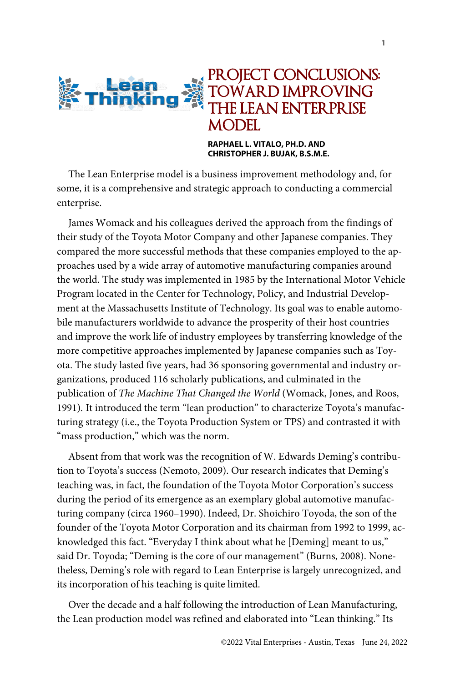

The Lean Enterprise model is a business improvement methodology and, for some, it is a comprehensive and strategic approach to conducting a commercial enterprise.

James Womack and his colleagues derived the approach from the findings of their study of the Toyota Motor Company and other Japanese companies. They compared the more successful methods that these companies employed to the approaches used by a wide array of automotive manufacturing companies around the world. The study was implemented in 1985 by the International Motor Vehicle Program located in the Center for Technology, Policy, and Industrial Development at the Massachusetts Institute of Technology. Its goal was to enable automobile manufacturers worldwide to advance the prosperity of their host countries and improve the work life of industry employees by transferring knowledge of the more competitive approaches implemented by Japanese companies such as Toyota. The study lasted five years, had 36 sponsoring governmental and industry organizations, produced 116 scholarly publications, and culminated in the publication of *The Machine That Changed the World* (Womack, Jones, and Roos, 1991)*.* It introduced the term "lean production" to characterize Toyota's manufacturing strategy (i.e., the Toyota Production System or TPS) and contrasted it with "mass production," which was the norm.

Absent from that work was the recognition of W. Edwards Deming's contribution to Toyota's success (Nemoto, 2009). Our research indicates that Deming's teaching was, in fact, the foundation of the Toyota Motor Corporation's success during the period of its emergence as an exemplary global automotive manufacturing company (circa 1960–1990). Indeed, Dr. Shoichiro Toyoda, the son of the founder of the Toyota Motor Corporation and its chairman from 1992 to 1999, acknowledged this fact. "Everyday I think about what he [Deming] meant to us," said Dr. Toyoda; "Deming is the core of our management" (Burns, 2008). Nonetheless, Deming's role with regard to Lean Enterprise is largely unrecognized, and its incorporation of his teaching is quite limited.

Over the decade and a half following the introduction of Lean Manufacturing, the Lean production model was refined and elaborated into "Lean thinking." Its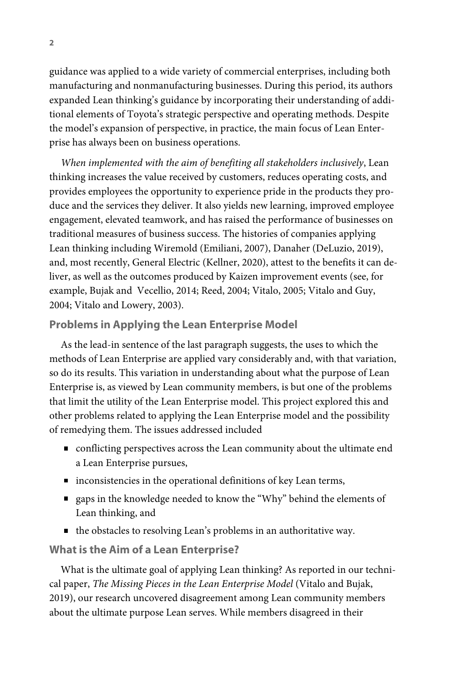guidance was applied to a wide variety of commercial enterprises, including both manufacturing and nonmanufacturing businesses. During this period, its authors expanded Lean thinking's guidance by incorporating their understanding of additional elements of Toyota's strategic perspective and operating methods. Despite the model's expansion of perspective, in practice, the main focus of Lean Enterprise has always been on business operations.

*When implemented with the aim of benefiting all stakeholders inclusively*, Lean thinking increases the value received by customers, reduces operating costs, and provides employees the opportunity to experience pride in the products they produce and the services they deliver. It also yields new learning, improved employee engagement, elevated teamwork, and has raised the performance of businesses on traditional measures of business success. The histories of companies applying Lean thinking including Wiremold (Emiliani, 2007), Danaher (DeLuzio, 2019), and, most recently, General Electric (Kellner, 2020), attest to the benefits it can deliver, as well as the outcomes produced by Kaizen improvement events (see, for example, Bujak and Vecellio, 2014; Reed, 2004; Vitalo, 2005; Vitalo and Guy, 2004; Vitalo and Lowery, 2003).

## **Problems in Applying the Lean Enterprise Model**

As the lead-in sentence of the last paragraph suggests, the uses to which the methods of Lean Enterprise are applied vary considerably and, with that variation, so do its results. This variation in understanding about what the purpose of Lean Enterprise is, as viewed by Lean community members, is but one of the problems that limit the utility of the Lean Enterprise model. This project explored this and other problems related to applying the Lean Enterprise model and the possibility of remedying them. The issues addressed included

- conflicting perspectives across the Lean community about the ultimate end a Lean Enterprise pursues,
- inconsistencies in the operational definitions of key Lean terms,
- gaps in the knowledge needed to know the "Why" behind the elements of Lean thinking, and
- the obstacles to resolving Lean's problems in an authoritative way.

**What is the Aim of a Lean Enterprise?**

What is the ultimate goal of applying Lean thinking? As reported in our technical paper, *The Missing Pieces in the Lean Enterprise Model* (Vitalo and Bujak, 2019), our research uncovered disagreement among Lean community members about the ultimate purpose Lean serves. While members disagreed in their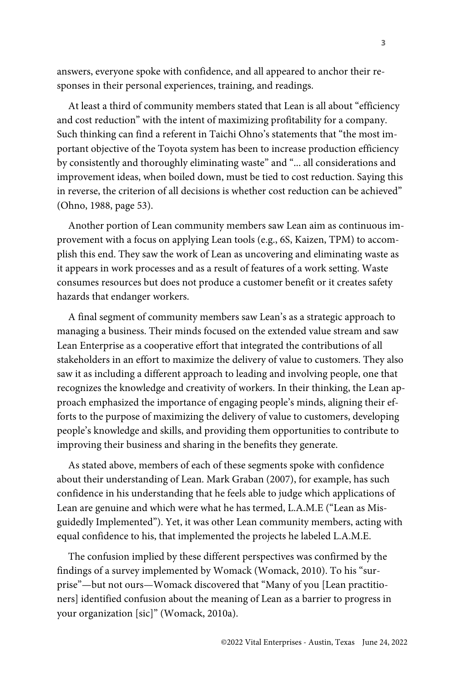answers, everyone spoke with confidence, and all appeared to anchor their responses in their personal experiences, training, and readings.

At least a third of community members stated that Lean is all about "efficiency and cost reduction" with the intent of maximizing profitability for a company. Such thinking can find a referent in Taichi Ohno's statements that "the most important objective of the Toyota system has been to increase production efficiency by consistently and thoroughly eliminating waste" and "... all considerations and improvement ideas, when boiled down, must be tied to cost reduction. Saying this in reverse, the criterion of all decisions is whether cost reduction can be achieved" (Ohno, 1988, page 53).

Another portion of Lean community members saw Lean aim as continuous improvement with a focus on applying Lean tools (e.g., 6S, Kaizen, TPM) to accomplish this end. They saw the work of Lean as uncovering and eliminating waste as it appears in work processes and as a result of features of a work setting. Waste consumes resources but does not produce a customer benefit or it creates safety hazards that endanger workers.

A final segment of community members saw Lean's as a strategic approach to managing a business. Their minds focused on the extended value stream and saw Lean Enterprise as a cooperative effort that integrated the contributions of all stakeholders in an effort to maximize the delivery of value to customers. They also saw it as including a different approach to leading and involving people, one that recognizes the knowledge and creativity of workers. In their thinking, the Lean approach emphasized the importance of engaging people's minds, aligning their efforts to the purpose of maximizing the delivery of value to customers, developing people's knowledge and skills, and providing them opportunities to contribute to improving their business and sharing in the benefits they generate.

As stated above, members of each of these segments spoke with confidence about their understanding of Lean. Mark Graban (2007), for example, has such confidence in his understanding that he feels able to judge which applications of Lean are genuine and which were what he has termed, L.A.M.E ("Lean as Misguidedly Implemented"). Yet, it was other Lean community members, acting with equal confidence to his, that implemented the projects he labeled L.A.M.E.

The confusion implied by these different perspectives was confirmed by the findings of a survey implemented by Womack (Womack, 2010). To his "surprise"—but not ours—Womack discovered that "Many of you [Lean practitioners] identified confusion about the meaning of Lean as a barrier to progress in your organization [sic]" (Womack, 2010a).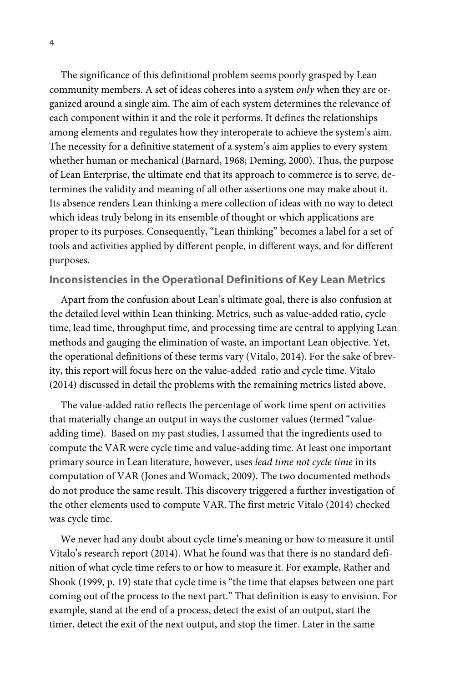The significance of this definitional problem seems poorly grasped by Lean community members. A set of ideas coheres into a system *only* when they are organized around a single aim. The aim of each system determines the relevance of each component within it and the role it performs. It defines the relationships among elements and regulates how they interoperate to achieve the system's aim. The necessity for a definitive statement of a system's aim applies to every system whether human or mechanical (Barnard, 1968; Deming, 2000). Thus, the purpose of Lean Enterprise, the ultimate end that its approach to commerce is to serve, determines the validity and meaning of all other assertions one may make about it. Its absence renders Lean thinking a mere collection of ideas with no way to detect which ideas truly belong in its ensemble of thought or which applications are proper to its purposes. Consequently, "Lean thinking" becomes a label for a set of tools and activities applied by different people, in different ways, and for different purposes.

## **Inconsistencies in the Operational Definitions of Key Lean Metrics**

Apart from the confusion about Lean's ultimate goal, there is also confusion at the detailed level within Lean thinking. Metrics, such as value-added ratio, cycle time, lead time, throughput time, and processing time are central to applying Lean methods and gauging the elimination of waste, an important Lean objective. Yet, the operational definitions of these terms vary (Vitalo, 2014). For the sake of brevity, this report will focus here on the value-added ratio and cycle time. Vitalo (2014) discussed in detail the problems with the remaining metrics listed above.

The value-added ratio reflects the percentage of work time spent on activities that materially change an output in ways the customer values (termed "valueadding time). Based on my past studies, I assumed that the ingredients used to compute the VAR were cycle time and value-adding time. At least one important primary source in Lean literature, however, uses *lead time not cycle time* in its computation of VAR (Jones and Womack, 2009). The two documented methods do not produce the same result. This discovery triggered a further investigation of the other elements used to compute VAR. The first metric Vitalo (2014) checked was cycle time.

We never had any doubt about cycle time's meaning or how to measure it until Vitalo's research report (2014). What he found was that there is no standard definition of what cycle time refers to or how to measure it. For example, Rather and Shook (1999, p. 19) state that cycle time is "the time that elapses between one part coming out of the process to the next part." That definition is easy to envision. For example, stand at the end of a process, detect the exist of an output, start the timer, detect the exit of the next output, and stop the timer. Later in the same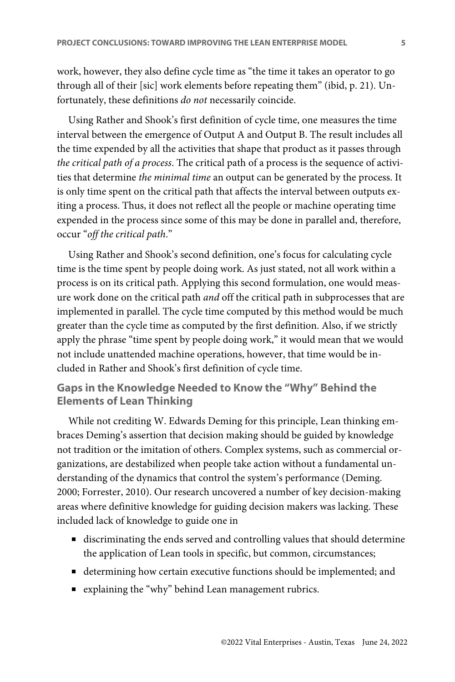work, however, they also define cycle time as "the time it takes an operator to go through all of their [sic] work elements before repeating them" (ibid, p. 21). Unfortunately, these definitions *do not* necessarily coincide.

Using Rather and Shook's first definition of cycle time, one measures the time interval between the emergence of Output A and Output B. The result includes all the time expended by all the activities that shape that product as it passes through *the critical path of a process*. The critical path of a process is the sequence of activities that determine *the minimal time* an output can be generated by the process. It is only time spent on the critical path that affects the interval between outputs exiting a process. Thus, it does not reflect all the people or machine operating time expended in the process since some of this may be done in parallel and, therefore, occur "*off the critical path*."

Using Rather and Shook's second definition, one's focus for calculating cycle time is the time spent by people doing work. As just stated, not all work within a process is on its critical path. Applying this second formulation, one would measure work done on the critical path *and* off the critical path in subprocesses that are implemented in parallel. The cycle time computed by this method would be much greater than the cycle time as computed by the first definition. Also, if we strictly apply the phrase "time spent by people doing work," it would mean that we would not include unattended machine operations, however, that time would be included in Rather and Shook's first definition of cycle time.

# **Gaps in the Knowledge Needed to Know the "Why" Behind the Elements of Lean Thinking**

While not crediting W. Edwards Deming for this principle, Lean thinking embraces Deming's assertion that decision making should be guided by knowledge not tradition or the imitation of others. Complex systems, such as commercial organizations, are destabilized when people take action without a fundamental understanding of the dynamics that control the system's performance (Deming. 2000; Forrester, 2010). Our research uncovered a number of key decision-making areas where definitive knowledge for guiding decision makers was lacking. These included lack of knowledge to guide one in

- discriminating the ends served and controlling values that should determine the application of Lean tools in specific, but common, circumstances;
- determining how certain executive functions should be implemented; and
- explaining the "why" behind Lean management rubrics.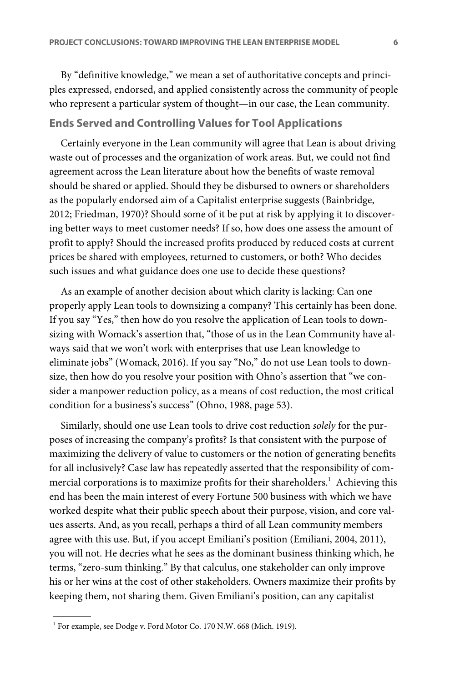By "definitive knowledge," we mean a set of authoritative concepts and principles expressed, endorsed, and applied consistently across the community of people who represent a particular system of thought—in our case, the Lean community. **Ends Served and Controlling Values for Tool Applications**

Certainly everyone in the Lean community will agree that Lean is about driving waste out of processes and the organization of work areas. But, we could not find agreement across the Lean literature about how the benefits of waste removal should be shared or applied. Should they be disbursed to owners or shareholders as the popularly endorsed aim of a Capitalist enterprise suggests (Bainbridge, 2012; Friedman, 1970)? Should some of it be put at risk by applying it to discovering better ways to meet customer needs? If so, how does one assess the amount of profit to apply? Should the increased profits produced by reduced costs at current prices be shared with employees, returned to customers, or both? Who decides such issues and what guidance does one use to decide these questions?

As an example of another decision about which clarity is lacking: Can one properly apply Lean tools to downsizing a company? This certainly has been done. If you say "Yes," then how do you resolve the application of Lean tools to downsizing with Womack's assertion that, "those of us in the Lean Community have always said that we won't work with enterprises that use Lean knowledge to eliminate jobs" (Womack, 2016). If you say "No," do not use Lean tools to downsize, then how do you resolve your position with Ohno's assertion that "we consider a manpower reduction policy, as a means of cost reduction, the most critical condition for a business's success" (Ohno, 1988, page 53).

Similarly, should one use Lean tools to drive cost reduction *solely* for the purposes of increasing the company's profits? Is that consistent with the purpose of maximizing the delivery of value to customers or the notion of generating benefits for all inclusively? Case law has repeatedly asserted that the responsibility of commercial corporations is to maximize profits for their shareholders.<sup>1</sup> Achieving this end has been the main interest of every Fortune 500 business with which we have worked despite what their public speech about their purpose, vision, and core values asserts. And, as you recall, perhaps a third of all Lean community members agree with this use. But, if you accept Emiliani's position (Emiliani, 2004, 2011), you will not. He decries what he sees as the dominant business thinking which, he terms, "zero-sum thinking." By that calculus, one stakeholder can only improve his or her wins at the cost of other stakeholders. Owners maximize their profits by keeping them, not sharing them. Given Emiliani's position, can any capitalist

<sup>&</sup>lt;sup>1</sup> For example, see Dodge v. Ford Motor Co. 170 N.W. 668 (Mich. 1919).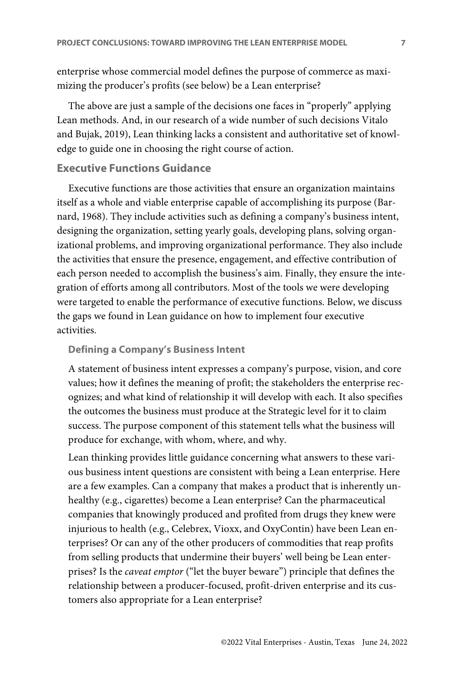enterprise whose commercial model defines the purpose of commerce as maximizing the producer's profits (see below) be a Lean enterprise?

The above are just a sample of the decisions one faces in "properly" applying Lean methods. And, in our research of a wide number of such decisions Vitalo and Bujak, 2019), Lean thinking lacks a consistent and authoritative set of knowledge to guide one in choosing the right course of action.

## **Executive Functions Guidance**

Executive functions are those activities that ensure an organization maintains itself as a whole and viable enterprise capable of accomplishing its purpose (Barnard, 1968). They include activities such as defining a company's business intent, designing the organization, setting yearly goals, developing plans, solving organizational problems, and improving organizational performance. They also include the activities that ensure the presence, engagement, and effective contribution of each person needed to accomplish the business's aim. Finally, they ensure the integration of efforts among all contributors. Most of the tools we were developing were targeted to enable the performance of executive functions. Below, we discuss the gaps we found in Lean guidance on how to implement four executive activities.

### **Defining a Company's Business Intent**

A statement of business intent expresses a company's purpose, vision, and core values; how it defines the meaning of profit; the stakeholders the enterprise recognizes; and what kind of relationship it will develop with each. It also specifies the outcomes the business must produce at the Strategic level for it to claim success. The purpose component of this statement tells what the business will produce for exchange, with whom, where, and why.

Lean thinking provides little guidance concerning what answers to these various business intent questions are consistent with being a Lean enterprise. Here are a few examples. Can a company that makes a product that is inherently unhealthy (e.g., cigarettes) become a Lean enterprise? Can the pharmaceutical companies that knowingly produced and profited from drugs they knew were injurious to health (e.g., Celebrex, Vioxx, and OxyContin) have been Lean enterprises? Or can any of the other producers of commodities that reap profits from selling products that undermine their buyers' well being be Lean enterprises? Is the *caveat emptor* ("let the buyer beware") principle that defines the relationship between a producer-focused, profit-driven enterprise and its customers also appropriate for a Lean enterprise?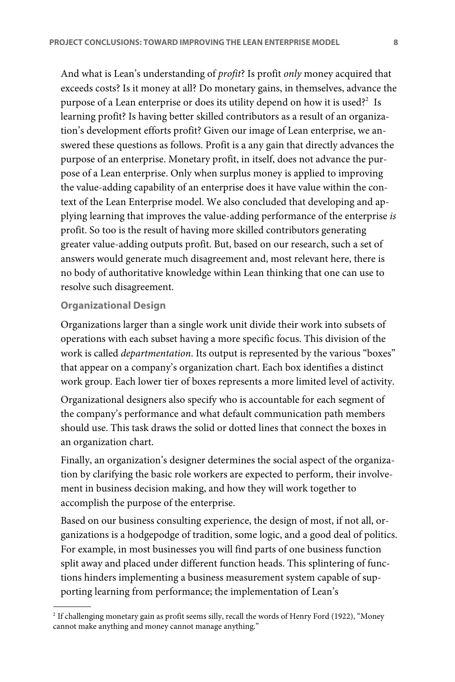And what is Lean's understanding of *profit*? Is profit *only* money acquired that exceeds costs? Is it money at all? Do monetary gains, in themselves, advance the purpose of a Lean enterprise or does its utility depend on how it is used?<sup>2</sup> Is learning profit? Is having better skilled contributors as a result of an organization's development efforts profit? Given our image of Lean enterprise, we answered these questions as follows. Profit is a any gain that directly advances the purpose of an enterprise. Monetary profit, in itself, does not advance the purpose of a Lean enterprise. Only when surplus money is applied to improving the value-adding capability of an enterprise does it have value within the context of the Lean Enterprise model. We also concluded that developing and applying learning that improves the value-adding performance of the enterprise *is* profit. So too is the result of having more skilled contributors generating greater value-adding outputs profit. But, based on our research, such a set of answers would generate much disagreement and, most relevant here, there is no body of authoritative knowledge within Lean thinking that one can use to resolve such disagreement.

### **Organizational Design**

Organizations larger than a single work unit divide their work into subsets of operations with each subset having a more specific focus. This division of the work is called *departmentation*. Its output is represented by the various "boxes" that appear on a company's organization chart. Each box identifies a distinct work group. Each lower tier of boxes represents a more limited level of activity.

Organizational designers also specify who is accountable for each segment of the company's performance and what default communication path members should use. This task draws the solid or dotted lines that connect the boxes in an organization chart.

Finally, an organization's designer determines the social aspect of the organization by clarifying the basic role workers are expected to perform, their involvement in business decision making, and how they will work together to accomplish the purpose of the enterprise.

Based on our business consulting experience, the design of most, if not all, organizations is a hodgepodge of tradition, some logic, and a good deal of politics. For example, in most businesses you will find parts of one business function split away and placed under different function heads. This splintering of functions hinders implementing a business measurement system capable of supporting learning from performance; the implementation of Lean's

 $2$  If challenging monetary gain as profit seems silly, recall the words of Henry Ford (1922), "Money cannot make anything and money cannot manage anything."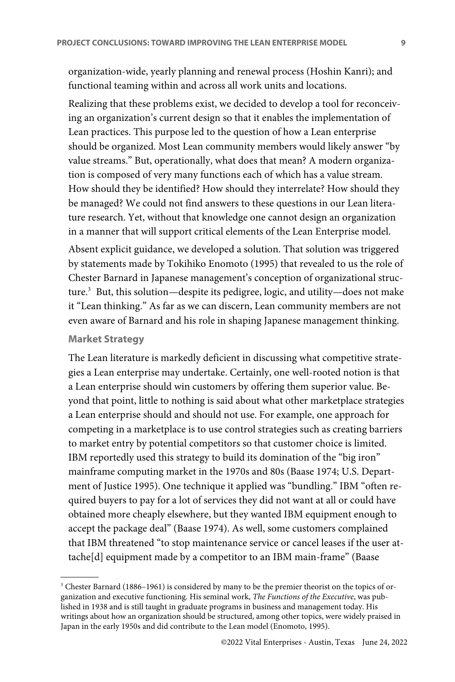organization-wide, yearly planning and renewal process (Hoshin Kanri); and functional teaming within and across all work units and locations.

Realizing that these problems exist, we decided to develop a tool for reconceiving an organization's current design so that it enables the implementation of Lean practices. This purpose led to the question of how a Lean enterprise should be organized. Most Lean community members would likely answer "by value streams." But, operationally, what does that mean? A modern organization is composed of very many functions each of which has a value stream. How should they be identified? How should they interrelate? How should they be managed? We could not find answers to these questions in our Lean literature research. Yet, without that knowledge one cannot design an organization in a manner that will support critical elements of the Lean Enterprise model.

Absent explicit guidance, we developed a solution. That solution was triggered by statements made by Tokihiko Enomoto (1995) that revealed to us the role of Chester Barnard in Japanese management's conception of organizational structure.<sup>3</sup> But, this solution—despite its pedigree, logic, and utility—does not make it "Lean thinking." As far as we can discern, Lean community members are not even aware of Barnard and his role in shaping Japanese management thinking.

### **Market Strategy**

The Lean literature is markedly deficient in discussing what competitive strategies a Lean enterprise may undertake. Certainly, one well-rooted notion is that a Lean enterprise should win customers by offering them superior value. Beyond that point, little to nothing is said about what other marketplace strategies a Lean enterprise should and should not use. For example, one approach for competing in a marketplace is to use control strategies such as creating barriers to market entry by potential competitors so that customer choice is limited. IBM reportedly used this strategy to build its domination of the "big iron" mainframe computing market in the 1970s and 80s (Baase 1974; U.S. Department of Justice 1995). One technique it applied was "bundling." IBM "often required buyers to pay for a lot of services they did not want at all or could have obtained more cheaply elsewhere, but they wanted IBM equipment enough to accept the package deal" (Baase 1974). As well, some customers complained that IBM threatened "to stop maintenance service or cancel leases if the user attache[d] equipment made by a competitor to an IBM main-frame" (Baase

<sup>&</sup>lt;sup>3</sup> Chester Barnard (1886-1961) is considered by many to be the premier theorist on the topics of organization and executive functioning. His seminal work, *The Functions of the Executive*, was published in 1938 and is still taught in graduate programs in business and management today. His writings about how an organization should be structured, among other topics, were widely praised in Japan in the early 1950s and did contribute to the Lean model (Enomoto, 1995).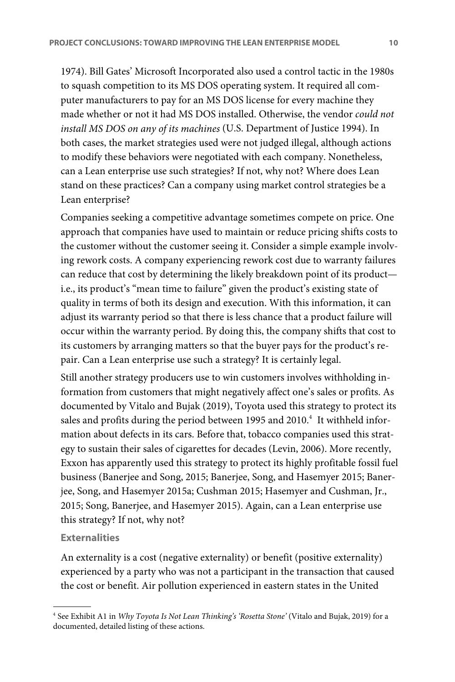1974). Bill Gates' Microsoft Incorporated also used a control tactic in the 1980s to squash competition to its MS DOS operating system. It required all computer manufacturers to pay for an MS DOS license for every machine they made whether or not it had MS DOS installed. Otherwise, the vendor *could not install MS DOS on any of its machines* (U.S. Department of Justice 1994). In both cases, the market strategies used were not judged illegal, although actions to modify these behaviors were negotiated with each company. Nonetheless, can a Lean enterprise use such strategies? If not, why not? Where does Lean stand on these practices? Can a company using market control strategies be a Lean enterprise?

Companies seeking a competitive advantage sometimes compete on price. One approach that companies have used to maintain or reduce pricing shifts costs to the customer without the customer seeing it. Consider a simple example involving rework costs. A company experiencing rework cost due to warranty failures can reduce that cost by determining the likely breakdown point of its product i.e., its product's "mean time to failure" given the product's existing state of quality in terms of both its design and execution. With this information, it can adjust its warranty period so that there is less chance that a product failure will occur within the warranty period. By doing this, the company shifts that cost to its customers by arranging matters so that the buyer pays for the product's repair. Can a Lean enterprise use such a strategy? It is certainly legal.

Still another strategy producers use to win customers involves withholding information from customers that might negatively affect one's sales or profits. As documented by Vitalo and Bujak (2019), Toyota used this strategy to protect its sales and profits during the period between 1995 and 2010.<sup>4</sup> It withheld information about defects in its cars. Before that, tobacco companies used this strategy to sustain their sales of cigarettes for decades (Levin, 2006). More recently, Exxon has apparently used this strategy to protect its highly profitable fossil fuel business (Banerjee and Song, 2015; Banerjee, Song, and Hasemyer 2015; Banerjee, Song, and Hasemyer 2015a; Cushman 2015; Hasemyer and Cushman, Jr., 2015; Song, Banerjee, and Hasemyer 2015). Again, can a Lean enterprise use this strategy? If not, why not?

#### **Externalities**

An externality is a cost (negative externality) or benefit (positive externality) experienced by a party who was not a participant in the transaction that caused the cost or benefit. Air pollution experienced in eastern states in the United

<sup>4</sup> See Exhibit A1 in *Why Toyota Is Not Lean Thinking's 'Rosetta Stone'* (Vitalo and Bujak, 2019) for a documented, detailed listing of these actions.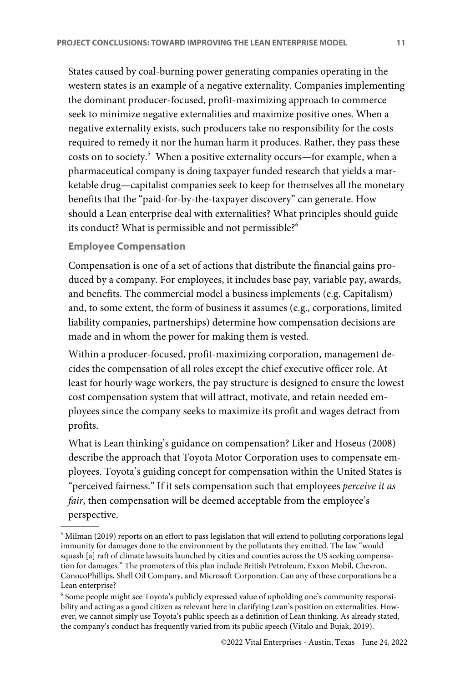States caused by coal-burning power generating companies operating in the western states is an example of a negative externality. Companies implementing the dominant producer-focused, profit-maximizing approach to commerce seek to minimize negative externalities and maximize positive ones. When a negative externality exists, such producers take no responsibility for the costs required to remedy it nor the human harm it produces. Rather, they pass these costs on to society.<sup>5</sup> When a positive externality occurs—for example, when a pharmaceutical company is doing taxpayer funded research that yields a marketable drug—capitalist companies seek to keep for themselves all the monetary benefits that the "paid-for-by-the-taxpayer discovery" can generate. How should a Lean enterprise deal with externalities? What principles should guide its conduct? What is permissible and not permissible?<sup>6</sup>

#### **Employee Compensation**

Compensation is one of a set of actions that distribute the financial gains produced by a company. For employees, it includes base pay, variable pay, awards, and benefits. The commercial model a business implements (e.g. Capitalism) and, to some extent, the form of business it assumes (e.g., corporations, limited liability companies, partnerships) determine how compensation decisions are made and in whom the power for making them is vested.

Within a producer-focused, profit-maximizing corporation, management decides the compensation of all roles except the chief executive officer role. At least for hourly wage workers, the pay structure is designed to ensure the lowest cost compensation system that will attract, motivate, and retain needed employees since the company seeks to maximize its profit and wages detract from profits.

What is Lean thinking's guidance on compensation? Liker and Hoseus (2008) describe the approach that Toyota Motor Corporation uses to compensate employees. Toyota's guiding concept for compensation within the United States is "perceived fairness." If it sets compensation such that employees *perceive it as fair*, then compensation will be deemed acceptable from the employee's perspective.

<sup>&</sup>lt;sup>5</sup> Milman (2019) reports on an effort to pass legislation that will extend to polluting corporations legal immunity for damages done to the environment by the pollutants they emitted. The law "would squash [a] raft of climate lawsuits launched by cities and counties across the US seeking compensation for damages." The promoters of this plan include British Petroleum, Exxon Mobil, Chevron, ConocoPhillips, Shell Oil Company, and Microsoft Corporation. Can any of these corporations be a Lean enterprise?

<sup>6</sup> Some people might see Toyota's publicly expressed value of upholding one's community responsibility and acting as a good citizen as relevant here in clarifying Lean's position on externalities. However, we cannot simply use Toyota's public speech as a definition of Lean thinking. As already stated, the company's conduct has frequently varied from its public speech (Vitalo and Bujak, 2019).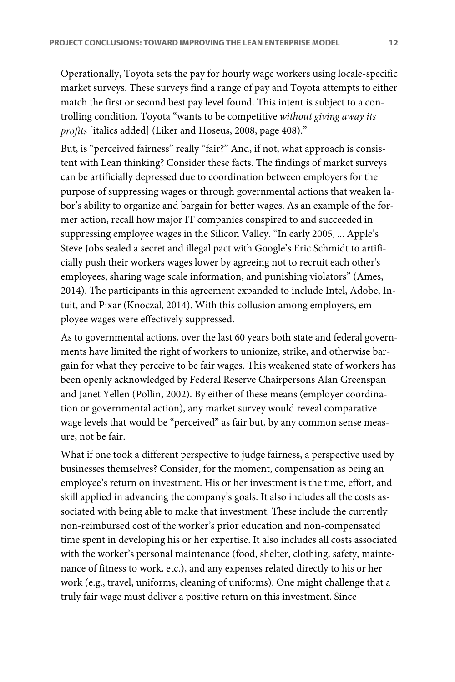Operationally, Toyota sets the pay for hourly wage workers using locale-specific market surveys. These surveys find a range of pay and Toyota attempts to either match the first or second best pay level found. This intent is subject to a controlling condition. Toyota "wants to be competitive *without giving away its profits* [italics added] (Liker and Hoseus, 2008, page 408)."

But, is "perceived fairness" really "fair?" And, if not, what approach is consistent with Lean thinking? Consider these facts. The findings of market surveys can be artificially depressed due to coordination between employers for the purpose of suppressing wages or through governmental actions that weaken labor's ability to organize and bargain for better wages. As an example of the former action, recall how major IT companies conspired to and succeeded in suppressing employee wages in the Silicon Valley. "In early 2005, ... Apple's Steve Jobs sealed a secret and illegal pact with Google's Eric Schmidt to artificially push their workers wages lower by agreeing not to recruit each other's employees, sharing wage scale information, and punishing violators" (Ames, 2014). The participants in this agreement expanded to include Intel, Adobe, Intuit, and Pixar (Knoczal, 2014). With this collusion among employers, employee wages were effectively suppressed.

As to governmental actions, over the last 60 years both state and federal governments have limited the right of workers to unionize, strike, and otherwise bargain for what they perceive to be fair wages. This weakened state of workers has been openly acknowledged by Federal Reserve Chairpersons Alan Greenspan and Janet Yellen (Pollin, 2002). By either of these means (employer coordination or governmental action), any market survey would reveal comparative wage levels that would be "perceived" as fair but, by any common sense measure, not be fair.

What if one took a different perspective to judge fairness, a perspective used by businesses themselves? Consider, for the moment, compensation as being an employee's return on investment. His or her investment is the time, effort, and skill applied in advancing the company's goals. It also includes all the costs associated with being able to make that investment. These include the currently non-reimbursed cost of the worker's prior education and non-compensated time spent in developing his or her expertise. It also includes all costs associated with the worker's personal maintenance (food, shelter, clothing, safety, maintenance of fitness to work, etc.), and any expenses related directly to his or her work (e.g., travel, uniforms, cleaning of uniforms). One might challenge that a truly fair wage must deliver a positive return on this investment. Since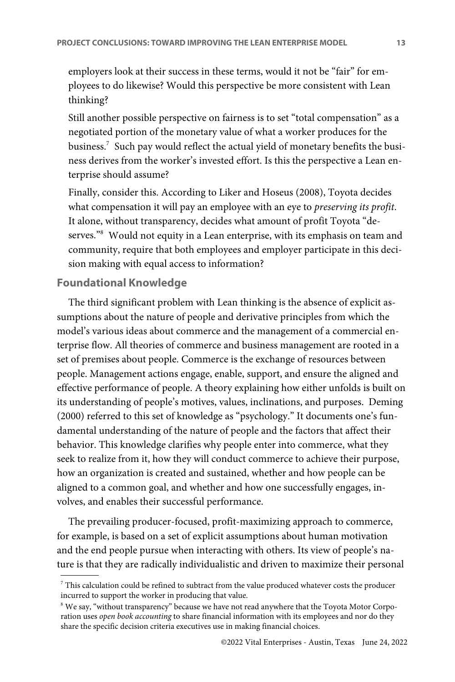employers look at their success in these terms, would it not be "fair" for employees to do likewise? Would this perspective be more consistent with Lean thinking?

Still another possible perspective on fairness is to set "total compensation" as a negotiated portion of the monetary value of what a worker produces for the business.<sup>7</sup> Such pay would reflect the actual yield of monetary benefits the business derives from the worker's invested effort. Is this the perspective a Lean enterprise should assume?

Finally, consider this. According to Liker and Hoseus (2008), Toyota decides what compensation it will pay an employee with an eye to *preserving its profit*. It alone, without transparency, decides what amount of profit Toyota "deserves."<sup>8</sup> Would not equity in a Lean enterprise, with its emphasis on team and community, require that both employees and employer participate in this decision making with equal access to information?

## **Foundational Knowledge**

The third significant problem with Lean thinking is the absence of explicit assumptions about the nature of people and derivative principles from which the model's various ideas about commerce and the management of a commercial enterprise flow. All theories of commerce and business management are rooted in a set of premises about people. Commerce is the exchange of resources between people. Management actions engage, enable, support, and ensure the aligned and effective performance of people. A theory explaining how either unfolds is built on its understanding of people's motives, values, inclinations, and purposes. Deming (2000) referred to this set of knowledge as "psychology." It documents one's fundamental understanding of the nature of people and the factors that affect their behavior. This knowledge clarifies why people enter into commerce, what they seek to realize from it, how they will conduct commerce to achieve their purpose, how an organization is created and sustained, whether and how people can be aligned to a common goal, and whether and how one successfully engages, involves, and enables their successful performance.

The prevailing producer-focused, profit-maximizing approach to commerce, for example, is based on a set of explicit assumptions about human motivation and the end people pursue when interacting with others. Its view of people's nature is that they are radically individualistic and driven to maximize their personal

 $7$  This calculation could be refined to subtract from the value produced whatever costs the producer incurred to support the worker in producing that value.

<sup>&</sup>lt;sup>8</sup> We say, "without transparency" because we have not read anywhere that the Toyota Motor Corporation uses *open book accounting* to share financial information with its employees and nor do they share the specific decision criteria executives use in making financial choices.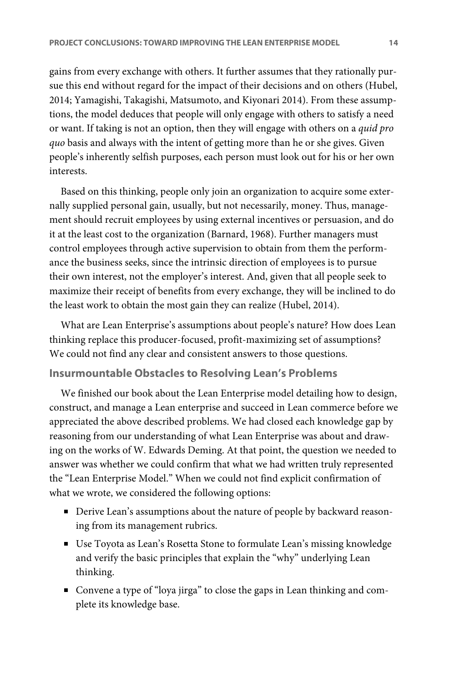gains from every exchange with others. It further assumes that they rationally pursue this end without regard for the impact of their decisions and on others (Hubel, 2014; Yamagishi, Takagishi, Matsumoto, and Kiyonari 2014). From these assumptions, the model deduces that people will only engage with others to satisfy a need or want. If taking is not an option, then they will engage with others on a *quid pro quo* basis and always with the intent of getting more than he or she gives. Given people's inherently selfish purposes, each person must look out for his or her own interests.

Based on this thinking, people only join an organization to acquire some externally supplied personal gain, usually, but not necessarily, money. Thus, management should recruit employees by using external incentives or persuasion, and do it at the least cost to the organization (Barnard, 1968). Further managers must control employees through active supervision to obtain from them the performance the business seeks, since the intrinsic direction of employees is to pursue their own interest, not the employer's interest. And, given that all people seek to maximize their receipt of benefits from every exchange, they will be inclined to do the least work to obtain the most gain they can realize (Hubel, 2014).

What are Lean Enterprise's assumptions about people's nature? How does Lean thinking replace this producer-focused, profit-maximizing set of assumptions? We could not find any clear and consistent answers to those questions.

### **Insurmountable Obstacles to Resolving Lean's Problems**

We finished our book about the Lean Enterprise model detailing how to design, construct, and manage a Lean enterprise and succeed in Lean commerce before we appreciated the above described problems. We had closed each knowledge gap by reasoning from our understanding of what Lean Enterprise was about and drawing on the works of W. Edwards Deming. At that point, the question we needed to answer was whether we could confirm that what we had written truly represented the "Lean Enterprise Model." When we could not find explicit confirmation of what we wrote, we considered the following options:

- Derive Lean's assumptions about the nature of people by backward reasoning from its management rubrics.
- Use Toyota as Lean's Rosetta Stone to formulate Lean's missing knowledge and verify the basic principles that explain the "why" underlying Lean thinking.
- Convene a type of "loya jirga" to close the gaps in Lean thinking and complete its knowledge base.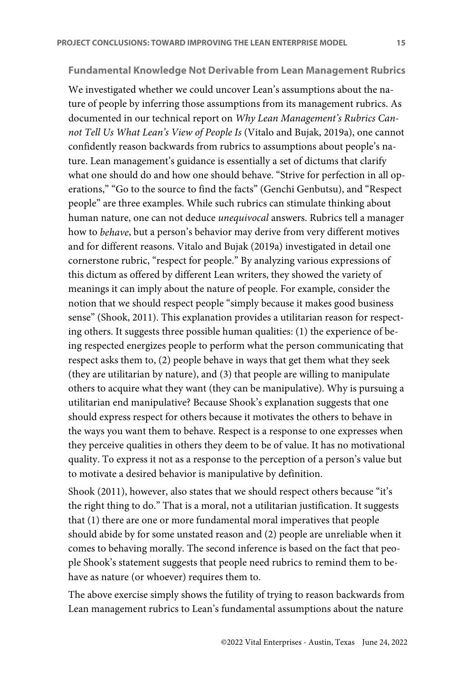#### **Fundamental Knowledge Not Derivable from Lean Management Rubrics**

We investigated whether we could uncover Lean's assumptions about the nature of people by inferring those assumptions from its management rubrics. As documented in our technical report on *Why Lean Management's Rubrics Cannot Tell Us What Lean's View of People Is* (Vitalo and Bujak, 2019a), one cannot confidently reason backwards from rubrics to assumptions about people's nature. Lean management's guidance is essentially a set of dictums that clarify what one should do and how one should behave. "Strive for perfection in all operations," "Go to the source to find the facts" (Genchi Genbutsu), and "Respect people" are three examples. While such rubrics can stimulate thinking about human nature, one can not deduce *unequivocal* answers. Rubrics tell a manager how to *behave*, but a person's behavior may derive from very different motives and for different reasons. Vitalo and Bujak (2019a) investigated in detail one cornerstone rubric, "respect for people." By analyzing various expressions of this dictum as offered by different Lean writers, they showed the variety of meanings it can imply about the nature of people. For example, consider the notion that we should respect people "simply because it makes good business sense" (Shook, 2011). This explanation provides a utilitarian reason for respecting others. It suggests three possible human qualities: (1) the experience of being respected energizes people to perform what the person communicating that respect asks them to, (2) people behave in ways that get them what they seek (they are utilitarian by nature), and (3) that people are willing to manipulate others to acquire what they want (they can be manipulative). Why is pursuing a utilitarian end manipulative? Because Shook's explanation suggests that one should express respect for others because it motivates the others to behave in the ways you want them to behave. Respect is a response to one expresses when they perceive qualities in others they deem to be of value. It has no motivational quality. To express it not as a response to the perception of a person's value but to motivate a desired behavior is manipulative by definition.

Shook (2011), however, also states that we should respect others because "it's the right thing to do." That is a moral, not a utilitarian justification. It suggests that (1) there are one or more fundamental moral imperatives that people should abide by for some unstated reason and (2) people are unreliable when it comes to behaving morally. The second inference is based on the fact that people Shook's statement suggests that people need rubrics to remind them to behave as nature (or whoever) requires them to.

The above exercise simply shows the futility of trying to reason backwards from Lean management rubrics to Lean's fundamental assumptions about the nature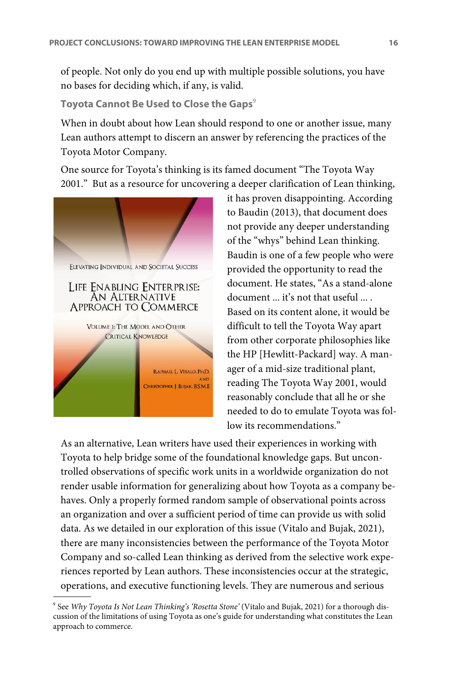of people. Not only do you end up with multiple possible solutions, you have no bases for deciding which, if any, is valid.

**Toyota Cannot Be Used to Close the Gaps<sup>9</sup>** 

When in doubt about how Lean should respond to one or another issue, many Lean authors attempt to discern an answer by referencing the practices of the Toyota Motor Company.

One source for Toyota's thinking is its famed document "The Toyota Way 2001." But as a resource for uncovering a deeper clarification of Lean thinking,



it has proven disappointing. According to Baudin (2013), that document does not provide any deeper understanding of the "whys" behind Lean thinking. Baudin is one of a few people who were provided the opportunity to read the document. He states, "As a stand-alone document ... it's not that useful ... . Based on its content alone, it would be difficult to tell the Toyota Way apart from other corporate philosophies like the HP [Hewlitt-Packard] way. A manager of a mid-size traditional plant, reading The Toyota Way 2001, would reasonably conclude that all he or she needed to do to emulate Toyota was follow its recommendations."

As an alternative, Lean writers have used their experiences in working with Toyota to help bridge some of the foundational knowledge gaps. But uncontrolled observations of specific work units in a worldwide organization do not render usable information for generalizing about how Toyota as a company behaves. Only a properly formed random sample of observational points across an organization and over a sufficient period of time can provide us with solid data. As we detailed in our exploration of this issue (Vitalo and Bujak, 2021), there are many inconsistencies between the performance of the Toyota Motor Company and so-called Lean thinking as derived from the selective work experiences reported by Lean authors. These inconsistencies occur at the strategic, operations, and executive functioning levels. They are numerous and serious

<sup>9</sup> See *Why Toyota Is Not Lean Thinking's 'Rosetta Stone'* (Vitalo and Bujak, 2021) for a thorough discussion of the limitations of using Toyota as one's guide for understanding what constitutes the Lean approach to commerce.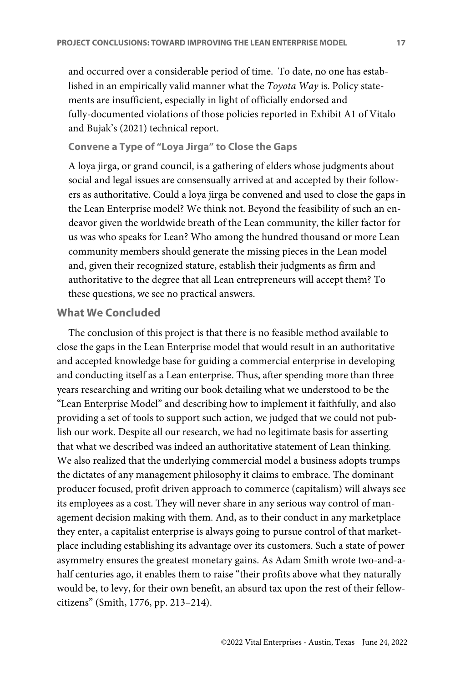and occurred over a considerable period of time. To date, no one has established in an empirically valid manner what the *Toyota Way* is. Policy statements are insufficient, especially in light of officially endorsed and fully-documented violations of those policies reported in Exhibit A1 of Vitalo and Bujak's (2021) technical report.

### **Convene a Type of "Loya Jirga" to Close the Gaps**

A loya jirga, or grand council, is a gathering of elders whose judgments about social and legal issues are consensually arrived at and accepted by their followers as authoritative. Could a loya jirga be convened and used to close the gaps in the Lean Enterprise model? We think not. Beyond the feasibility of such an endeavor given the worldwide breath of the Lean community, the killer factor for us was who speaks for Lean? Who among the hundred thousand or more Lean community members should generate the missing pieces in the Lean model and, given their recognized stature, establish their judgments as firm and authoritative to the degree that all Lean entrepreneurs will accept them? To these questions, we see no practical answers.

## **What We Concluded**

The conclusion of this project is that there is no feasible method available to close the gaps in the Lean Enterprise model that would result in an authoritative and accepted knowledge base for guiding a commercial enterprise in developing and conducting itself as a Lean enterprise. Thus, after spending more than three years researching and writing our book detailing what we understood to be the "Lean Enterprise Model" and describing how to implement it faithfully, and also providing a set of tools to support such action, we judged that we could not publish our work. Despite all our research, we had no legitimate basis for asserting that what we described was indeed an authoritative statement of Lean thinking. We also realized that the underlying commercial model a business adopts trumps the dictates of any management philosophy it claims to embrace. The dominant producer focused, profit driven approach to commerce (capitalism) will always see its employees as a cost. They will never share in any serious way control of management decision making with them. And, as to their conduct in any marketplace they enter, a capitalist enterprise is always going to pursue control of that marketplace including establishing its advantage over its customers. Such a state of power asymmetry ensures the greatest monetary gains. As Adam Smith wrote two-and-ahalf centuries ago, it enables them to raise "their profits above what they naturally would be, to levy, for their own benefit, an absurd tax upon the rest of their fellowcitizens" (Smith, 1776, pp. 213–214).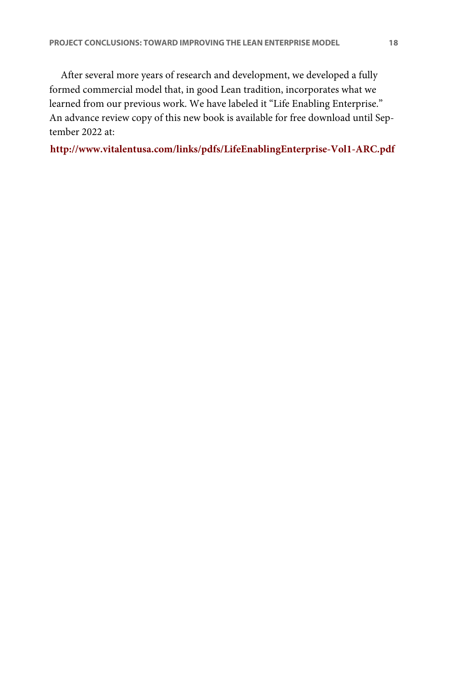After several more years of research and development, we developed a fully formed commercial model that, in good Lean tradition, incorporates what we learned from our previous work. We have labeled it "Life Enabling Enterprise." An advance review copy of this new book is available for free download until September 2022 at:

**http://www.vitalentusa.com/links/pdfs/LifeEnablingEnterprise-Vol1-ARC.pdf**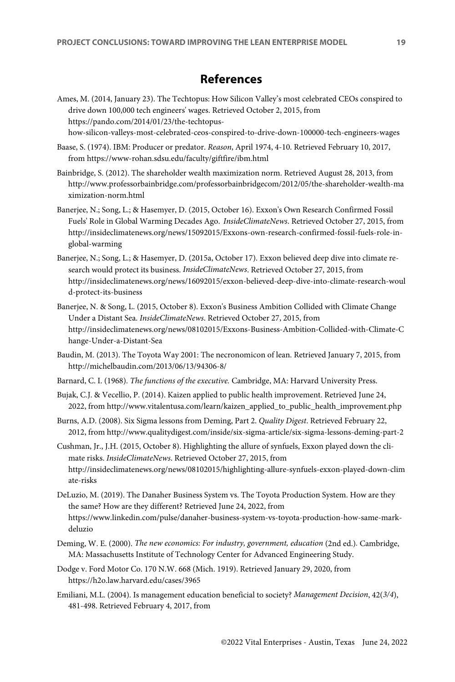# **References**

Ames, M. (2014, January 23). The Techtopus: How Silicon Valley's most celebrated CEOs conspired to drive down 100,000 tech engineers' wages. Retrieved October 2, 2015, from https://pando.com/2014/01/23/the-techtopus-

how-silicon-valleys-most-celebrated-ceos-conspired-to-drive-down-100000-tech-engineers-wages

- Baase, S. (1974). IBM: Producer or predator. *Reason*, April 1974, 4-10. Retrieved February 10, 2017, from https://www-rohan.sdsu.edu/faculty/giftfire/ibm.html
- Bainbridge, S. (2012). The shareholder wealth maximization norm. Retrieved August 28, 2013, from http://www.professorbainbridge.com/professorbainbridgecom/2012/05/the-shareholder-wealth-ma ximization-norm.html
- Banerjee, N.; Song, L.; & Hasemyer, D. (2015, October 16). Exxon's Own Research Confirmed Fossil Fuels' Role in Global Warming Decades Ago. *InsideClimateNews*. Retrieved October 27, 2015, from http://insideclimatenews.org/news/15092015/Exxons-own-research-confirmed-fossil-fuels-role-inglobal-warming
- Banerjee, N.; Song, L.; & Hasemyer, D. (2015a, October 17). Exxon believed deep dive into climate research would protect its business. *InsideClimateNews*. Retrieved October 27, 2015, from http://insideclimatenews.org/news/16092015/exxon-believed-deep-dive-into-climate-research-woul d-protect-its-business
- Banerjee, N. & Song, L. (2015, October 8). Exxon's Business Ambition Collided with Climate Change Under a Distant Sea. *InsideClimateNews*. Retrieved October 27, 2015, from http://insideclimatenews.org/news/08102015/Exxons-Business-Ambition-Collided-with-Climate-C hange-Under-a-Distant-Sea
- Baudin, M. (2013). The Toyota Way 2001: The necronomicon of lean. Retrieved January 7, 2015, from http://michelbaudin.com/2013/06/13/94306-8/
- Barnard, C. I. (1968). *The functions of the executive.* Cambridge, MA: Harvard University Press.
- Bujak, C.J. & Vecellio, P. (2014). Kaizen applied to public health improvement. Retrieved June 24, 2022, from http://www.vitalentusa.com/learn/kaizen\_applied\_to\_public\_health\_improvement.php
- Burns, A.D. (2008). Six Sigma lessons from Deming, Part 2. *Quality Digest*. Retrieved February 22, 2012, from http://www.qualitydigest.com/inside/six-sigma-article/six-sigma-lessons-deming-part-2
- Cushman, Jr., J.H. (2015, October 8). Highlighting the allure of synfuels, Exxon played down the climate risks. *InsideClimateNews*. Retrieved October 27, 2015, from http://insideclimatenews.org/news/08102015/highlighting-allure-synfuels-exxon-played-down-clim ate-risks
- DeLuzio, M. (2019). The Danaher Business System vs. The Toyota Production System. How are they the same? How are they different? Retrieved June 24, 2022, from https://www.linkedin.com/pulse/danaher-business-system-vs-toyota-production-how-same-markdeluzio
- Deming, W. E. (2000). *The new economics: For industry, government, education* (2nd ed.)*.* Cambridge, MA: Massachusetts Institute of Technology Center for Advanced Engineering Study.
- Dodge v. Ford Motor Co. 170 N.W. 668 (Mich. 1919). Retrieved January 29, 2020, from https://h2o.law.harvard.edu/cases/3965
- Emiliani, M.L. (2004). Is management education beneficial to society? *Management Decision*, 42(*3/4*), 481-498. Retrieved February 4, 2017, from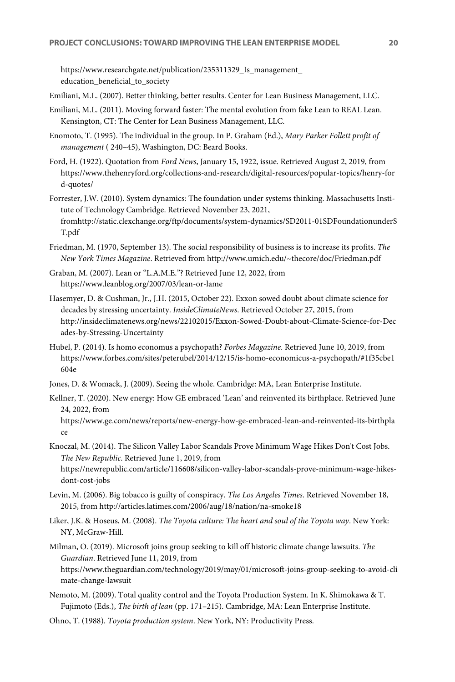https://www.researchgate.net/publication/235311329\_Is\_management\_ education\_beneficial\_to\_society

- Emiliani, M.L. (2007). Better thinking, better results. Center for Lean Business Management, LLC.
- Emiliani, M.L. (2011). Moving forward faster: The mental evolution from fake Lean to REAL Lean. Kensington, CT: The Center for Lean Business Management, LLC.
- Enomoto, T. (1995). The individual in the group. In P. Graham (Ed.), *Mary Parker Follett profit of management* ( 240–45), Washington, DC: Beard Books.
- Ford, H. (1922). Quotation from *Ford News*, January 15, 1922, issue. Retrieved August 2, 2019, from https://www.thehenryford.org/collections-and-research/digital-resources/popular-topics/henry-for d-quotes/
- Forrester, J.W. (2010). System dynamics: The foundation under systems thinking. Massachusetts Institute of Technology Cambridge. Retrieved November 23, 2021, fromhttp://static.clexchange.org/ftp/documents/system-dynamics/SD2011-01SDFoundationunderS T.pdf
- Friedman, M. (1970, September 13). The social responsibility of business is to increase its profits. *The New York Times Magazine*. Retrieved from http://www.umich.edu/~thecore/doc/Friedman.pdf
- Graban, M. (2007). Lean or "L.A.M.E."? Retrieved June 12, 2022, from https://www.leanblog.org/2007/03/lean-or-lame
- Hasemyer, D. & Cushman, Jr., J.H. (2015, October 22). Exxon sowed doubt about climate science for decades by stressing uncertainty. *InsideClimateNews*. Retrieved October 27, 2015, from http://insideclimatenews.org/news/22102015/Exxon-Sowed-Doubt-about-Climate-Science-for-Dec ades-by-Stressing-Uncertainty
- Hubel, P. (2014). Is homo economus a psychopath? *Forbes Magazine*. Retrieved June 10, 2019, from https://www.forbes.com/sites/peterubel/2014/12/15/is-homo-economicus-a-psychopath/#1f35cbe1 604e
- Jones, D. & Womack, J. (2009). Seeing the whole. Cambridge: MA, Lean Enterprise Institute.
- Kellner, T. (2020). New energy: How GE embraced 'Lean' and reinvented its birthplace. Retrieved June 24, 2022, from

https://www.ge.com/news/reports/new-energy-how-ge-embraced-lean-and-reinvented-its-birthpla ce

Knoczal, M. (2014). The Silicon Valley Labor Scandals Prove Minimum Wage Hikes Don't Cost Jobs. *The New Republic*. Retrieved June 1, 2019, from https://newrepublic.com/article/116608/silicon-valley-labor-scandals-prove-minimum-wage-hikesdont-cost-jobs

- Levin, M. (2006). Big tobacco is guilty of conspiracy. *The Los Angeles Times*. Retrieved November 18, 2015, from http://articles.latimes.com/2006/aug/18/nation/na-smoke18
- Liker, J.K. & Hoseus, M. (2008). *The Toyota culture: The heart and soul of the Toyota way*. New York: NY, McGraw-Hill.

Milman, O. (2019). Microsoft joins group seeking to kill off historic climate change lawsuits. *The Guardian*. Retrieved June 11, 2019, from https://www.theguardian.com/technology/2019/may/01/microsoft-joins-group-seeking-to-avoid-cli mate-change-lawsuit

- Nemoto, M. (2009). Total quality control and the Toyota Production System. In K. Shimokawa & T. Fujimoto (Eds.), *The birth of lean* (pp. 171–215). Cambridge, MA: Lean Enterprise Institute.
- Ohno, T. (1988). *Toyota production system*. New York, NY: Productivity Press.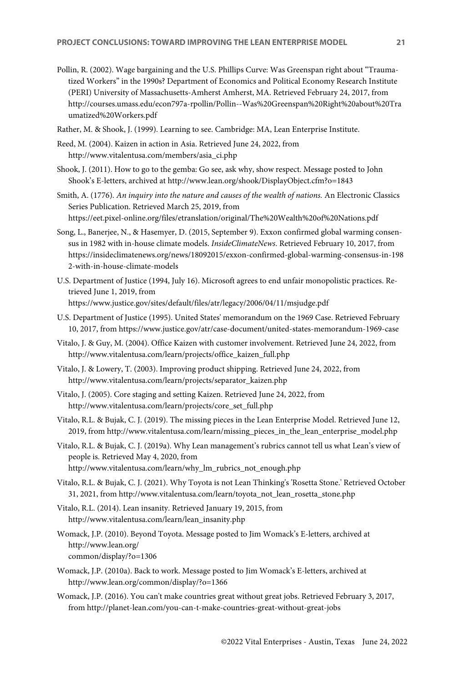- Pollin, R. (2002). Wage bargaining and the U.S. Phillips Curve: Was Greenspan right about "Traumatized Workers" in the 1990s? Department of Economics and Political Economy Research Institute (PERI) University of Massachusetts-Amherst Amherst, MA. Retrieved February 24, 2017, from http://courses.umass.edu/econ797a-rpollin/Pollin--Was%20Greenspan%20Right%20about%20Tra umatized%20Workers.pdf
- Rather, M. & Shook, J. (1999). Learning to see. Cambridge: MA, Lean Enterprise Institute.
- Reed, M. (2004). Kaizen in action in Asia. Retrieved June 24, 2022, from http://www.vitalentusa.com/members/asia\_ci.php
- Shook, J. (2011). How to go to the gemba: Go see, ask why, show respect. Message posted to John Shook's E-letters, archived at http://www.lean.org/shook/DisplayObject.cfm?o=1843
- Smith, A. (1776)*. An inquiry into the nature and causes of the wealth of nations.* An Electronic Classics Series Publication. Retrieved March 25, 2019, from https://eet.pixel-online.org/files/etranslation/original/The%20Wealth%20of%20Nations.pdf
- Song, L., Banerjee, N., & Hasemyer, D. (2015, September 9). Exxon confirmed global warming consensus in 1982 with in-house climate models. *InsideClimateNews*. Retrieved February 10, 2017, from https://insideclimatenews.org/news/18092015/exxon-confirmed-global-warming-consensus-in-198 2-with-in-house-climate-models
- U.S. Department of Justice (1994, July 16). Microsoft agrees to end unfair monopolistic practices. Retrieved June 1, 2019, from

https://www.justice.gov/sites/default/files/atr/legacy/2006/04/11/msjudge.pdf

- U.S. Department of Justice (1995). United States' memorandum on the 1969 Case. Retrieved February 10, 2017, from https://www.justice.gov/atr/case-document/united-states-memorandum-1969-case
- Vitalo, J. & Guy, M. (2004). Office Kaizen with customer involvement. Retrieved June 24, 2022, from http://www.vitalentusa.com/learn/projects/office\_kaizen\_full.php
- Vitalo, J. & Lowery, T. (2003). Improving product shipping. Retrieved June 24, 2022, from http://www.vitalentusa.com/learn/projects/separator\_kaizen.php
- Vitalo, J. (2005). Core staging and setting Kaizen. Retrieved June 24, 2022, from http://www.vitalentusa.com/learn/projects/core\_set\_full.php
- Vitalo, R.L. & Bujak, C. J. (2019). The missing pieces in the Lean Enterprise Model. Retrieved June 12, 2019, from http://www.vitalentusa.com/learn/missing\_pieces\_in\_the\_lean\_enterprise\_model.php
- Vitalo, R.L. & Bujak, C. J. (2019a). Why Lean management's rubrics cannot tell us what Lean's view of people is. Retrieved May 4, 2020, from

http://www.vitalentusa.com/learn/why\_lm\_rubrics\_not\_enough.php

- Vitalo, R.L. & Bujak, C. J. (2021). Why Toyota is not Lean Thinking's 'Rosetta Stone.' Retrieved October 31, 2021, from http://www.vitalentusa.com/learn/toyota\_not\_lean\_rosetta\_stone.php
- Vitalo, R.L. (2014). Lean insanity. Retrieved January 19, 2015, from http://www.vitalentusa.com/learn/lean\_insanity.php
- Womack, J.P. (2010). Beyond Toyota. Message posted to Jim Womack's E-letters, archived at http://www.lean.org/ common/display/?o=1306
- Womack, J.P. (2010a). Back to work. Message posted to Jim Womack's E-letters, archived at http://www.lean.org/common/display/?o=1366
- Womack, J.P. (2016). You can't make countries great without great jobs. Retrieved February 3, 2017, from http://planet-lean.com/you-can-t-make-countries-great-without-great-jobs